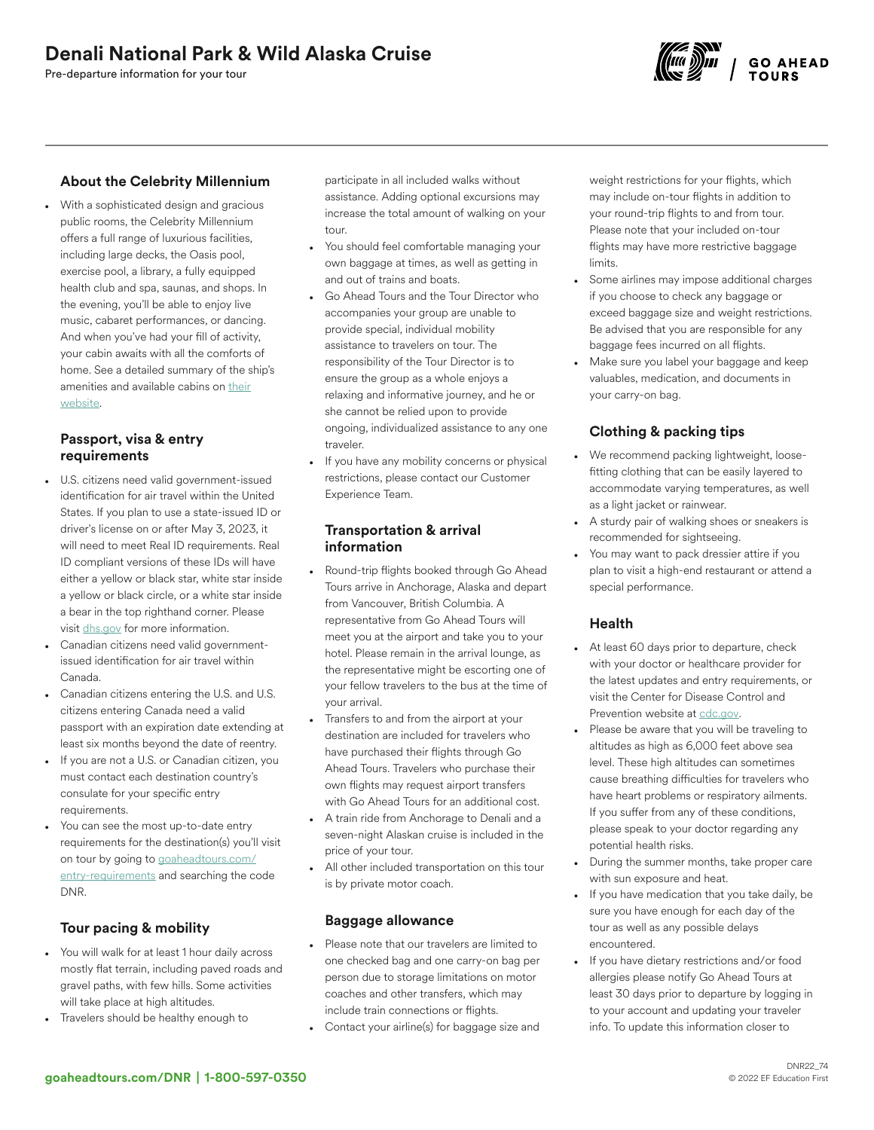Pre-departure information for your tour



# About the Celebrity Millennium

• With a sophisticated design and gracious public rooms, the Celebrity Millennium offers a full range of luxurious facilities, including large decks, the Oasis pool, exercise pool, a library, a fully equipped health club and spa, saunas, and shops. In the evening, you'll be able to enjoy live music, cabaret performances, or dancing. And when you've had your fill of activity, your cabin awaits with all the comforts of home. See a detailed summary of the ship's amenities and available cabins on [their](https://www.celebritycruises.com/cruise-ships/celebrity-millennium) [website.](https://www.celebritycruises.com/cruise-ships/celebrity-millennium)

#### Passport, visa & entry requirements

- U.S. citizens need valid government-issued identification for air travel within the United States. If you plan to use a state-issued ID or driver's license on or after May 3, 2023, it will need to meet Real ID requirements. Real ID compliant versions of these IDs will have either a yellow or black star, white star inside a yellow or black circle, or a white star inside a bear in the top righthand corner. Please visit [dhs.gov](https://www.dhs.gov/real-id-frequently-asked-questions) for more information.
- Canadian citizens need valid governmentissued identification for air travel within Canada.
- Canadian citizens entering the U.S. and U.S. citizens entering Canada need a valid passport with an expiration date extending at least six months beyond the date of reentry.
- If you are not a U.S. or Canadian citizen, you must contact each destination country's consulate for your specific entry requirements.
- You can see the most up-to-date entry requirements for the destination(s) you'll visit on tour by going to [goaheadtours.com/](/entry-requirements?tourCode=DNR) [entry-requirements](/entry-requirements?tourCode=DNR) and searching the code DNR.

# Tour pacing & mobility

- You will walk for at least 1 hour daily across mostly flat terrain, including paved roads and gravel paths, with few hills. Some activities will take place at high altitudes.
- Travelers should be healthy enough to

participate in all included walks without assistance. Adding optional excursions may increase the total amount of walking on your tour.

- You should feel comfortable managing your own baggage at times, as well as getting in and out of trains and boats.
- Go Ahead Tours and the Tour Director who accompanies your group are unable to provide special, individual mobility assistance to travelers on tour. The responsibility of the Tour Director is to ensure the group as a whole enjoys a relaxing and informative journey, and he or she cannot be relied upon to provide ongoing, individualized assistance to any one traveler.
- If you have any mobility concerns or physical restrictions, please contact our Customer Experience Team.

#### Transportation & arrival information

- Round-trip flights booked through Go Ahead Tours arrive in Anchorage, Alaska and depart from Vancouver, British Columbia. A representative from Go Ahead Tours will meet you at the airport and take you to your hotel. Please remain in the arrival lounge, as the representative might be escorting one of your fellow travelers to the bus at the time of your arrival.
- Transfers to and from the airport at your destination are included for travelers who have purchased their flights through Go Ahead Tours. Travelers who purchase their own flights may request airport transfers with Go Ahead Tours for an additional cost.
- A train ride from Anchorage to Denali and a seven-night Alaskan cruise is included in the price of your tour.
- All other included transportation on this tour is by private motor coach.

#### Baggage allowance

- Please note that our travelers are limited to one checked bag and one carry-on bag per person due to storage limitations on motor coaches and other transfers, which may include train connections or flights.
- Contact your airline(s) for baggage size and

weight restrictions for your flights, which may include on-tour flights in addition to your round-trip flights to and from tour. Please note that your included on-tour flights may have more restrictive baggage limits.

- Some airlines may impose additional charges if you choose to check any baggage or exceed baggage size and weight restrictions. Be advised that you are responsible for any baggage fees incurred on all flights.
- Make sure you label your baggage and keep valuables, medication, and documents in your carry-on bag.

# Clothing & packing tips

- We recommend packing lightweight, loosefitting clothing that can be easily layered to accommodate varying temperatures, as well as a light jacket or rainwear.
- A sturdy pair of walking shoes or sneakers is recommended for sightseeing.
- You may want to pack dressier attire if you plan to visit a high-end restaurant or attend a special performance.

# Health

- At least 60 days prior to departure, check with your doctor or healthcare provider for the latest updates and entry requirements, or visit the Center for Disease Control and Prevention website at [cdc.gov.](https://www.cdc.gov/)
- Please be aware that you will be traveling to altitudes as high as 6,000 feet above sea level. These high altitudes can sometimes cause breathing difficulties for travelers who have heart problems or respiratory ailments. If you suffer from any of these conditions, please speak to your doctor regarding any potential health risks.
- During the summer months, take proper care with sun exposure and heat.
- If you have medication that you take daily, be sure you have enough for each day of the tour as well as any possible delays encountered.
- If you have dietary restrictions and/or food allergies please notify Go Ahead Tours at least 30 days prior to departure by logging in to your account and updating your traveler info. To update this information closer to